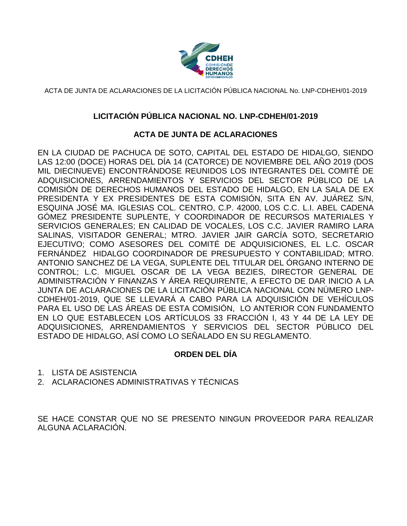

## **LICITACIÓN PÚBLICA NACIONAL NO. LNP-CDHEH/01-2019**

### **ACTA DE JUNTA DE ACLARACIONES**

EN LA CIUDAD DE PACHUCA DE SOTO, CAPITAL DEL ESTADO DE HIDALGO, SIENDO LAS 12:00 (DOCE) HORAS DEL DÍA 14 (CATORCE) DE NOVIEMBRE DEL AÑO 2019 (DOS MIL DIECINUEVE) ENCONTRÁNDOSE REUNIDOS LOS INTEGRANTES DEL COMITÉ DE ADQUISICIONES, ARRENDAMIENTOS Y SERVICIOS DEL SECTOR PÚBLICO DE LA COMISIÓN DE DERECHOS HUMANOS DEL ESTADO DE HIDALGO, EN LA SALA DE EX PRESIDENTA Y EX PRESIDENTES DE ESTA COMISIÓN, SITA EN AV. JUÁREZ S/N, ESQUINA JOSÉ MA. IGLESIAS COL. CENTRO, C.P. 42000, LOS C.C. L.I. ABEL CADENA GÓMEZ PRESIDENTE SUPLENTE, Y COORDINADOR DE RECURSOS MATERIALES Y SERVICIOS GENERALES; EN CALIDAD DE VOCALES, LOS C.C. JAVIER RAMIRO LARA SALINAS, VISITADOR GENERAL; MTRO. JAVIER JAIR GARCÍA SOTO, SECRETARIO EJECUTIVO; COMO ASESORES DEL COMITÉ DE ADQUISICIONES, EL L.C. OSCAR FERNÁNDEZ HIDALGO COORDINADOR DE PRESUPUESTO Y CONTABILIDAD; MTRO. ANTONIO SANCHEZ DE LA VEGA, SUPLENTE DEL TITULAR DEL ÓRGANO INTERNO DE CONTROL; L.C. MIGUEL OSCAR DE LA VEGA BEZIES, DIRECTOR GENERAL DE ADMINISTRACIÓN Y FINANZAS Y ÁREA REQUIRENTE, A EFECTO DE DAR INICIO A LA JUNTA DE ACLARACIONES DE LA LICITACIÓN PÚBLICA NACIONAL CON NÚMERO LNP-CDHEH/01-2019, QUE SE LLEVARÁ A CABO PARA LA ADQUISICIÓN DE VEHÍCULOS PARA EL USO DE LAS ÁREAS DE ESTA COMISIÓN, LO ANTERIOR CON FUNDAMENTO EN LO QUE ESTABLECEN LOS ARTÍCULOS 33 FRACCIÓN I, 43 Y 44 DE LA LEY DE ADQUISICIONES, ARRENDAMIENTOS Y SERVICIOS DEL SECTOR PÚBLICO DEL ESTADO DE HIDALGO, ASÍ COMO LO SEÑALADO EN SU REGLAMENTO.

## **ORDEN DEL DÍA**

- 1. LISTA DE ASISTENCIA
- 2. ACLARACIONES ADMINISTRATIVAS Y TÉCNICAS

SE HACE CONSTAR QUE NO SE PRESENTO NINGUN PROVEEDOR PARA REALIZAR ALGUNA ACLARACIÓN.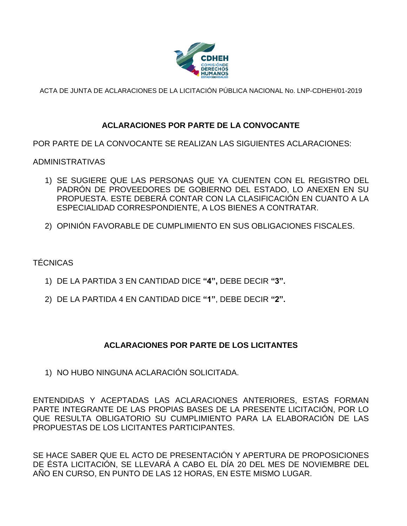

# **ACLARACIONES POR PARTE DE LA CONVOCANTE**

POR PARTE DE LA CONVOCANTE SE REALIZAN LAS SIGUIENTES ACLARACIONES:

ADMINISTRATIVAS

- 1) SE SUGIERE QUE LAS PERSONAS QUE YA CUENTEN CON EL REGISTRO DEL PADRÓN DE PROVEEDORES DE GOBIERNO DEL ESTADO, LO ANEXEN EN SU PROPUESTA. ESTE DEBERÁ CONTAR CON LA CLASIFICACIÓN EN CUANTO A LA ESPECIALIDAD CORRESPONDIENTE, A LOS BIENES A CONTRATAR.
- 2) OPINIÓN FAVORABLE DE CUMPLIMIENTO EN SUS OBLIGACIONES FISCALES.

TÉCNICAS

- 1) DE LA PARTIDA 3 EN CANTIDAD DICE **"4",** DEBE DECIR **"3".**
- 2) DE LA PARTIDA 4 EN CANTIDAD DICE **"1"**, DEBE DECIR **"2".**

## **ACLARACIONES POR PARTE DE LOS LICITANTES**

1) NO HUBO NINGUNA ACLARACIÓN SOLICITADA.

ENTENDIDAS Y ACEPTADAS LAS ACLARACIONES ANTERIORES, ESTAS FORMAN PARTE INTEGRANTE DE LAS PROPIAS BASES DE LA PRESENTE LICITACIÓN, POR LO QUE RESULTA OBLIGATORIO SU CUMPLIMIENTO PARA LA ELABORACIÓN DE LAS PROPUESTAS DE LOS LICITANTES PARTICIPANTES.

SE HACE SABER QUE EL ACTO DE PRESENTACIÓN Y APERTURA DE PROPOSICIONES DE ÉSTA LICITACIÓN, SE LLEVARÁ A CABO EL DÍA 20 DEL MES DE NOVIEMBRE DEL AÑO EN CURSO, EN PUNTO DE LAS 12 HORAS, EN ESTE MISMO LUGAR.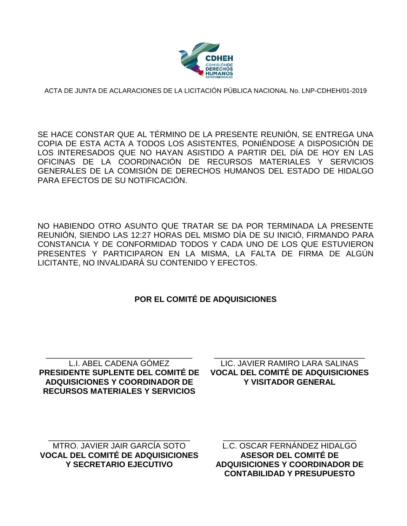

SE HACE CONSTAR QUE AL TÉRMINO DE LA PRESENTE REUNIÓN, SE ENTREGA UNA COPIA DE ESTA ACTA A TODOS LOS ASISTENTES, PONIÉNDOSE A DISPOSICIÓN DE LOS INTERESADOS QUE NO HAYAN ASISTIDO A PARTIR DEL DÍA DE HOY EN LAS OFICINAS DE LA COORDINACIÓN DE RECURSOS MATERIALES Y SERVICIOS GENERALES DE LA COMISIÓN DE DERECHOS HUMANOS DEL ESTADO DE HIDALGO PARA EFECTOS DE SU NOTIFICACIÓN.

NO HABIENDO OTRO ASUNTO QUE TRATAR SE DA POR TERMINADA LA PRESENTE REUNIÓN, SIENDO LAS 12:27 HORAS DEL MISMO DÍA DE SU INICIÓ, FIRMANDO PARA CONSTANCIA Y DE CONFORMIDAD TODOS Y CADA UNO DE LOS QUE ESTUVIERON PRESENTES Y PARTICIPARON EN LA MISMA, LA FALTA DE FIRMA DE ALGÚN LICITANTE, NO INVALIDARÁ SU CONTENIDO Y EFECTOS.

## **POR EL COMITÉ DE ADQUISICIONES**

\_\_\_\_\_\_\_\_\_\_\_\_\_\_\_\_\_\_\_\_\_\_\_\_\_\_\_\_\_\_\_\_\_ L.I. ABEL CADENA GÓMEZ **PRESIDENTE SUPLENTE DEL COMITÉ DE ADQUISICIONES Y COORDINADOR DE RECURSOS MATERIALES Y SERVICIOS**

\_\_\_\_\_\_\_\_\_\_\_\_\_\_\_\_\_\_\_\_\_\_\_\_\_\_\_\_\_\_\_\_\_\_ LIC. JAVIER RAMIRO LARA SALINAS **VOCAL DEL COMITÉ DE ADQUISICIONES Y VISITADOR GENERAL**

\_\_\_\_\_\_\_\_\_\_\_\_\_\_\_\_\_\_\_\_\_\_\_\_\_\_\_\_\_\_\_\_ MTRO. JAVIER JAIR GARCÍA SOTO **VOCAL DEL COMITÉ DE ADQUISICIONES Y SECRETARIO EJECUTIVO**

\_\_\_\_\_\_\_\_\_\_\_\_\_\_\_\_\_\_\_\_\_\_\_\_\_\_\_\_\_\_ L.C. OSCAR FERNÁNDEZ HIDALGO **ASESOR DEL COMITÉ DE ADQUISICIONES Y COORDINADOR DE CONTABILIDAD Y PRESUPUESTO**